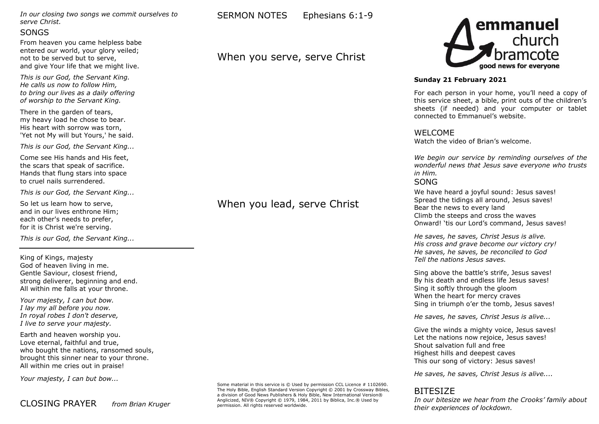*In our closing two songs we commit ourselves to serve Christ.*

## **SONGS**

From heaven you came helpless babe entered our world, your glory veiled; not to be served but to serve, and give Your life that we might live.

*This is our God, the Servant King. He calls us now to follow Him, to bring our lives as a daily offering of worship to the Servant King.*

There in the garden of tears, my heavy load he chose to bear. His heart with sorrow was torn, 'Yet not My will but Yours,' he said.

*This is our God, the Servant King...*

Come see His hands and His feet, the scars that speak of sacrifice. Hands that flung stars into space to cruel nails surrendered.

*This is our God, the Servant King...*

So let us learn how to serve, and in our lives enthrone Him; each other's needs to prefer, for it is Christ we're serving.

*This is our God, the Servant King...*

King of Kings, majesty God of heaven living in me. Gentle Saviour, closest friend, strong deliverer, beginning and end. All within me falls at your throne.

*Your majesty, I can but bow. I lay my all before you now. In royal robes I don't deserve, I live to serve your majesty.*

Earth and heaven worship you. Love eternal, faithful and true, who bought the nations, ransomed souls, brought this sinner near to your throne. All within me cries out in praise!

*Your majesty, I can but bow...*

CLOSING PRAYER *from Brian Kruger*

SERMON NOTES Ephesians 6:1-9

## When you serve, serve Christ



#### **Sunday 21 February 2021**

For each person in your home, you'll need a copy of this service sheet, a bible, print outs of the children's sheets (if needed) and your computer or tablet connected to Emmanuel's website.

## WELCOME

Watch the video of Brian's welcome.

*We begin our service by reminding ourselves of the wonderful news that Jesus save everyone who trusts in Him.*

## SONG

We have heard a joyful sound: Jesus saves! Spread the tidings all around, Jesus saves! Bear the news to every land Climb the steeps and cross the waves Onward! 'tis our Lord's command, Jesus saves!

*He saves, he saves, Christ Jesus is alive. His cross and grave become our victory cry! He saves, he saves, be reconciled to God Tell the nations Jesus saves.*

Sing above the battle's strife, Jesus saves! By his death and endless life Jesus saves! Sing it softly through the gloom When the heart for mercy craves Sing in triumph o'er the tomb, Jesus saves!

*He saves, he saves, Christ Jesus is alive...*

Give the winds a mighty voice, Jesus saves! Let the nations now rejoice, Jesus saves! Shout salvation full and free Highest hills and deepest caves This our song of victory: Jesus saves!

*He saves, he saves, Christ Jesus is alive....*

# BITESIZE

*In our bitesize we hear from the Crooks' family about their experiences of lockdown.*

When you lead, serve Christ

Some material in this service is  $©$  Used by permission CCL Licence # 1102690. The Holy Bible, English Standard Version Copyright © 2001 by Crossway Bibles, a division of Good News Publishers & Holy Bible, New International Version® Anglicized, NIV® Copyright © 1979, 1984, 2011 by Biblica, Inc.® Used by

permission. All rights reserved worldwide.